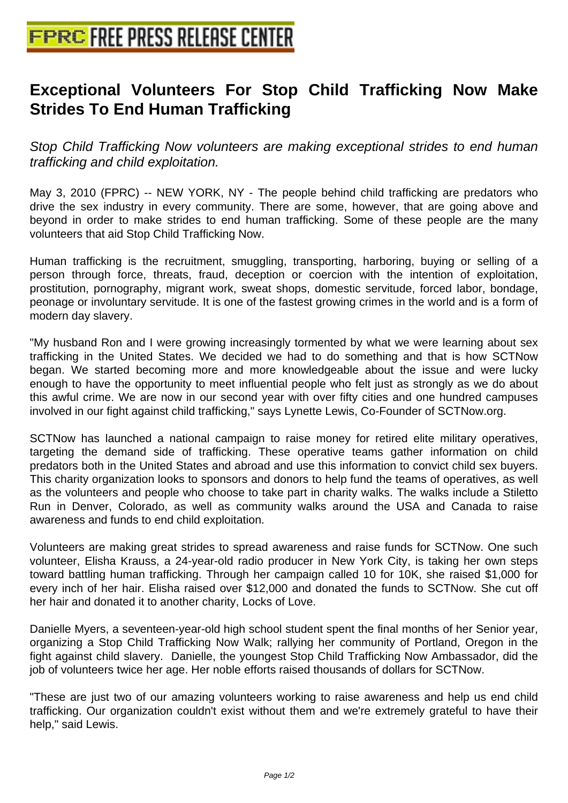## **[Exceptional Volunteers For Stop](http://www.free-press-release-center.info) Child Trafficking Now Make Strides To End Human Trafficking**

Stop Child Trafficking Now volunteers are making exceptional strides to end human trafficking and child exploitation.

May 3, 2010 (FPRC) -- NEW YORK, NY - The people behind child trafficking are predators who drive the sex industry in every community. There are some, however, that are going above and beyond in order to make strides to end human trafficking. Some of these people are the many volunteers that aid Stop Child Trafficking Now.

Human trafficking is the recruitment, smuggling, transporting, harboring, buying or selling of a person through force, threats, fraud, deception or coercion with the intention of exploitation, prostitution, pornography, migrant work, sweat shops, domestic servitude, forced labor, bondage, peonage or involuntary servitude. It is one of the fastest growing crimes in the world and is a form of modern day slavery.

"My husband Ron and I were growing increasingly tormented by what we were learning about sex trafficking in the United States. We decided we had to do something and that is how SCTNow began. We started becoming more and more knowledgeable about the issue and were lucky enough to have the opportunity to meet influential people who felt just as strongly as we do about this awful crime. We are now in our second year with over fifty cities and one hundred campuses involved in our fight against child trafficking," says Lynette Lewis, Co-Founder of SCTNow.org.

SCTNow has launched a national campaign to raise money for retired elite military operatives, targeting the demand side of trafficking. These operative teams gather information on child predators both in the United States and abroad and use this information to convict child sex buyers. This charity organization looks to sponsors and donors to help fund the teams of operatives, as well as the volunteers and people who choose to take part in charity walks. The walks include a Stiletto Run in Denver, Colorado, as well as community walks around the USA and Canada to raise awareness and funds to end child exploitation.

Volunteers are making great strides to spread awareness and raise funds for SCTNow. One such volunteer, Elisha Krauss, a 24-year-old radio producer in New York City, is taking her own steps toward battling human trafficking. Through her campaign called 10 for 10K, she raised \$1,000 for every inch of her hair. Elisha raised over \$12,000 and donated the funds to SCTNow. She cut off her hair and donated it to another charity, Locks of Love.

Danielle Myers, a seventeen-year-old high school student spent the final months of her Senior year, organizing a Stop Child Trafficking Now Walk; rallying her community of Portland, Oregon in the fight against child slavery. Danielle, the youngest Stop Child Trafficking Now Ambassador, did the job of volunteers twice her age. Her noble efforts raised thousands of dollars for SCTNow.

"These are just two of our amazing volunteers working to raise awareness and help us end child trafficking. Our organization couldn't exist without them and we're extremely grateful to have their help," said Lewis.